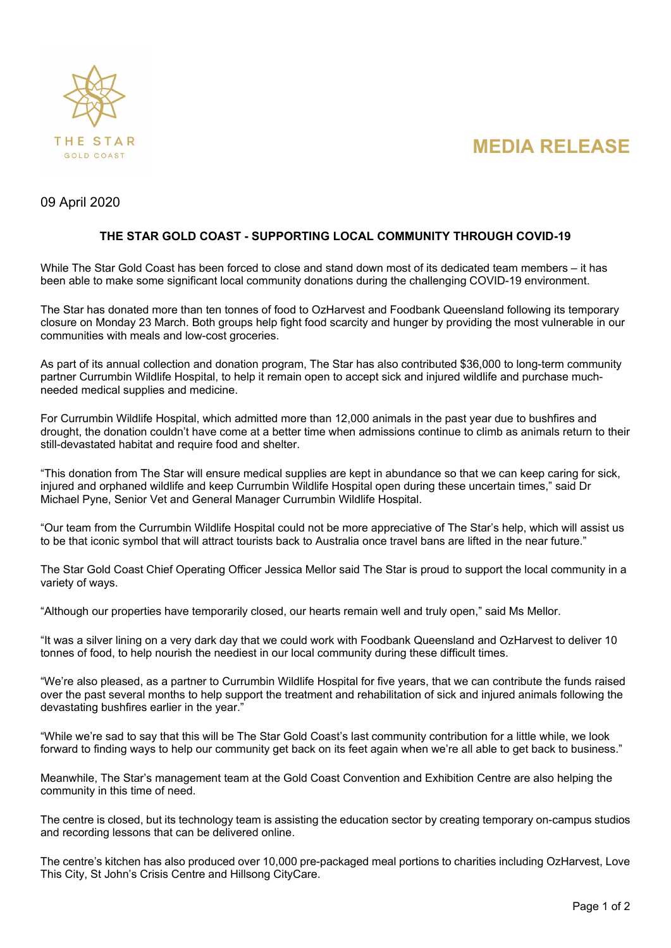



# 09 April 2020

## **THE STAR GOLD COAST - SUPPORTING LOCAL COMMUNITY THROUGH COVID-19**

While The Star Gold Coast has been forced to close and stand down most of its dedicated team members – it has been able to make some significant local community donations during the challenging COVID-19 environment.

The Star has donated more than ten tonnes of food to OzHarvest and Foodbank Queensland following its temporary closure on Monday 23 March. Both groups help fight food scarcity and hunger by providing the most vulnerable in our communities with meals and low-cost groceries.

As part of its annual collection and donation program, The Star has also contributed \$36,000 to long-term community partner Currumbin Wildlife Hospital, to help it remain open to accept sick and injured wildlife and purchase muchneeded medical supplies and medicine.

For Currumbin Wildlife Hospital, which admitted more than 12,000 animals in the past year due to bushfires and drought, the donation couldn't have come at a better time when admissions continue to climb as animals return to their still-devastated habitat and require food and shelter.

"This donation from The Star will ensure medical supplies are kept in abundance so that we can keep caring for sick, injured and orphaned wildlife and keep Currumbin Wildlife Hospital open during these uncertain times," said Dr Michael Pyne, Senior Vet and General Manager Currumbin Wildlife Hospital.

"Our team from the Currumbin Wildlife Hospital could not be more appreciative of The Star's help, which will assist us to be that iconic symbol that will attract tourists back to Australia once travel bans are lifted in the near future."

The Star Gold Coast Chief Operating Officer Jessica Mellor said The Star is proud to support the local community in a variety of ways.

"Although our properties have temporarily closed, our hearts remain well and truly open," said Ms Mellor.

"It was a silver lining on a very dark day that we could work with Foodbank Queensland and OzHarvest to deliver 10 tonnes of food, to help nourish the neediest in our local community during these difficult times.

"We're also pleased, as a partner to Currumbin Wildlife Hospital for five years, that we can contribute the funds raised over the past several months to help support the treatment and rehabilitation of sick and injured animals following the devastating bushfires earlier in the year."

"While we're sad to say that this will be The Star Gold Coast's last community contribution for a little while, we look forward to finding ways to help our community get back on its feet again when we're all able to get back to business."

Meanwhile, The Star's management team at the Gold Coast Convention and Exhibition Centre are also helping the community in this time of need.

The centre is closed, but its technology team is assisting the education sector by creating temporary on-campus studios and recording lessons that can be delivered online.

The centre's kitchen has also produced over 10,000 pre-packaged meal portions to charities including OzHarvest, Love This City, St John's Crisis Centre and Hillsong CityCare.